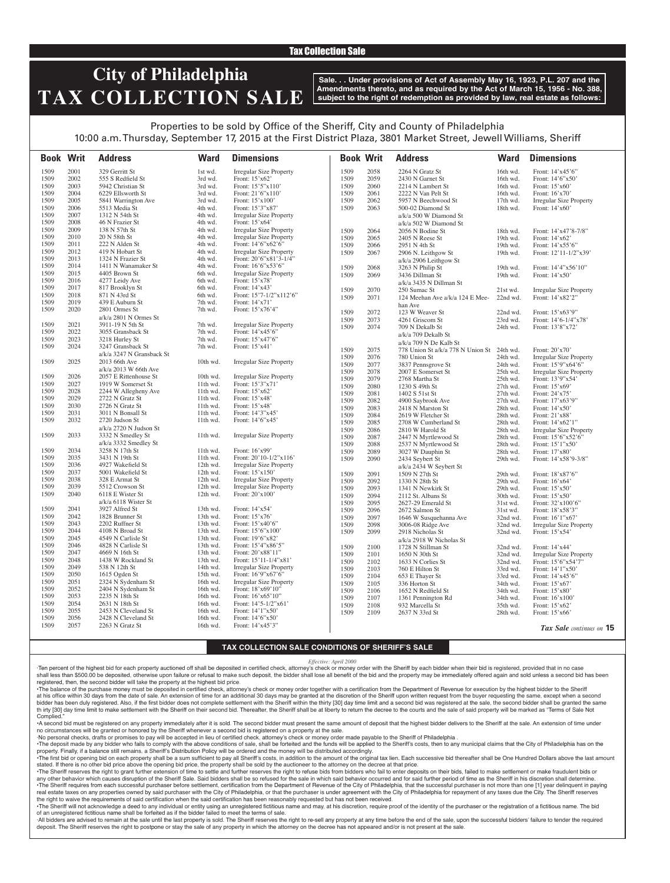### Tax Collection Sale

# **City of Philadelphia TAX COLLECTION SALE**

**Sale. . . Under provisions of Act of Assembly May 16, 1923, P.L. 207 and the Amendments thereto, and as required by the Act of March 15, 1956 - No. 388, subject to the right of redemption as provided by law, real estate as follows:**

## Properties to be sold by Office of the Sheriff, City and County of Philadelphia 10:00 a.m. Thursday, September 17, 2015 at the First District Plaza, 3801 Market Street, Jewell Williams, Sheriff

**Book Writ Address Ward Dimensions Book Writ Address Ward Dimensions** *Tax Sale continues on* **15** 1509 2001 329 Gerritt St 1st wd. Irregular Size Property<br>1509 2002 555 S Redfield St 3rd wd. Front: 15'x62' 1509 2002 555 S Redfield St 3rd wd.<br>1509 2003 5942 Christian St 3rd wd. 1509 2003 5942 Christian St 3rd wd. Front: 15'5"x110'<br>1509 2004 6229 Ellsworth St 3rd wd. Front: 21'6"x110' 1509 2004 6229 Ellsworth St 3rd wd. Front: 21'6"x11<br>1509 2005 5841 Warrington Ave 3rd wd. Front: 15'x100' 1509 2005 5841 Warrington Ave<br>1509 2006 5513 Media St 1509 2006 5513 Media St 4th wd. Front: 15'3"x87' 1509 2007 1312 N 54th St 4th wd. Irregular Size Property<br>1509 2008 46 N Frazier St 4th wd. Front: 15'x64' 1509 2008 46 N Frazier St 4th wd.<br>1509 2009 138 N 57th St 4th wd. 1509 2009 138 N 57th St 4th wd. Irregular Size Property<br>1509 2010 20 N 58th St 4th wd. Irregular Size Property 1509 2010 20 N 58th St 4th wd. Irregular Size Property<br>
1509 2011 222 N Alden St 4th wd. Front: 14'6"x62'6" Front: 14'6"x62'6" 1509 2012 419 N Hobart St 4th wd. Irregular Size Property 1509 2013 1324 N Frazier St 4th wd. Front: 20'6"x81'3-1/4'<br>1509 2014 1411 N Wanamaker St 4th wd. Front: 16'6"x53'6" 1509 2014 1411 N Wanamaker St 4th wd. 1509 2015 4405 Brown St 6th wd. Irregular Size Property<br>1509 2016 4277 Leidy Ave 6th wd. Front: 15'x78' 1509 2016 4277 Leidy Ave 6th wd. Front: 15'x78'<br>1509 2017 817 Brooklyn St 6th wd. Front: 14'x43' 1509 2017 817 Brooklyn St<br>1509 2018 871 N 43rd St 1509 2018 871 N 43rd St 6th wd. Front: 15'7-1/2"x112'6"<br>1509 2019 439 E Auburn St 7th wd. Front: 14'x71' 1509 2019 439 E Auburn St 7th wd.<br>1509 2020 2801 Ormes St 7th wd. 2801 Ormes St a/k/a 2801 N Ormes St<br>3911-19 N 5th St 7th wd. Front: 15'x76'4" 1509 2021 3911-19 N 5th St 7th wd. Irregular Size Property<br>1509 2022 3055 Gransback St 7th wd. Front: 14'x45'6" 2022 3055 Gransback St<br>
2023 3218 Hurley St 1509 2023 3218 Hurley St 7th wd. Front: 15'x47'6" 1509 2024 3247 Gransback St a/k/a 3247 N Gransback St 7th wd. Front: 15'x41' 1509 2025 2013 66th Ave a/k/a 2013 W 66th Ave 10th wd. Irregular Size Property 1509 2026 2057 E Rittenhouse St 10th wd. Irregular Size Property<br>1509 2027 1919 W Somerset St 11th wd. Front: 15'3"x71' 1509 2027 1919 W Somerset St 11th wd. 1509 2028 2244 W Allegheny Ave 11th wd. Front: 15'x62' 1509 2029 2722 N Gratz St 11th wd. Front: 15'x48' 1509 2030 2726 N Gratz St 11th wd. Front: 15'x48'<br>1509 2031 3011 N Bonsall St 11th wd. Front: 14'3"x4 1509 2031 3011 N Bonsall St 11th wd. Front: 14'3"x45'<br>1509 2032 2720 Judson St 11th wd. Front: 14'6"x45' 2720 Judson St a/k/a 2720 N Judson St 11th wd. Front: 14'6"x45' 1509 2033 3332 N Smedley St a/k/a 3332 Smedley St 11th wd. Irregular Size Property 1509 2034 3258 N 17th St 11th wd. Front: 16'x99'<br>1509 2035 3431 N 19th St 11th wd. Front: 20'10-1. 1509 2035 3431 N 19th St 11th wd. Front: 20'10-1/2"x116' Irregular Size Property 1509 2037 5001 Wakefield St 12th wd. Front: 15'x150' 1509 2038 328 E Armat St 12th wd. Irregular Size Property 1509 2039 5512 Crowson St 12th wd. Irregular Size Property 1509 2040 6118 E Wister St a/k/a 6118 Wister St 12th wd. Front: 20'x100' 1509 2041 3927 Alfred St 13th wd. Front: 14'x54' 1509 2042 1828 Brunner St 13th wd. Front: 15'x76' 1509 2043 2202 Ruffner St 13th wd. Front: 15'x40'6" 1509 2044 4108 N Broad St 13th wd. Front: 15'6"x100' 1509 2045 4549 N Carlisle St 13th wd. Front: 19'6"x82' 1509 2046 4828 N Carlisle St 13th wd. Front: 15'4"x86'5" 1509 2047 4669 N 16th St<br>1509 2048 1438 W Rockland St 1509 2048 1438 W Rockland St 13th wd. Front: 15'11-1/4"x81'<br>1509 2049 538 N 12th St 14th wd. Irregular Size Property 1509 2049 538 N 12th St 14th wd. Irregular Size Property<br>1509 2050 1615 Ogden St 15th wd. Front: 16'9"x67'6" 1509 2050 1615 Ogden St 15th wd. Front: 16'9"x67'6"<br>1509 2051 2324 N Sydenham St 16th wd. Irregular Size Prop 1509 2051 2324 N Sydenham St 16th wd. Irregular Size Property<br>1509 2052 2404 N Sydenham St 16th wd. Front: 18'x69'10" 1509 2052 2404 N Sydenham St 16th wd.<br>1509 2053 2235 N 18th St 16th wd. 1509 2053 2235 N 18th St 16th wd. Front: 16'x65'10"<br>1509 2054 2631 N 18th St 16th wd. Front: 14'5-1/2"xt 1509 2054 2631 N 18th St 16th wd. Front: 14'5-1/2"x61'<br>1509 2055 2453 N Cleveland St 16th wd. Front: 14'1"x50' 1509 2055 2453 N Cleveland St 16th wd. Front: 14'1"x50'<br>1509 2056 2428 N Cleveland St 16th wd. Front: 14'6"x50' 1509 2056 2428 N Cleveland St 16th wd.<br>1509 2057 2263 N Gratz St 16th wd. Front: 14'x45'3" 1509 2058 2264 N Gratz St 16th wd. Front: 14'x45'6"<br>1509 2059 2430 N Garnet St 16th wd. Front: 14'6"x50" 1509 2059 2430 N Garnet St 16th wd. Front: 14'6"x5<br>1509 2060 2214 N Lambert St 16th wd. Front: 15'x60' 1509 2060 2214 N Lambert St 16th wd. Front: 15'x60'<br>1509 2061 2222 N Van Pelt St 16th wd. Front: 16'x70' 1509 2061 2222 N Van Pelt St 16th wd.<br>1509 2062 5957 N Beechwood St 17th wd. 1509 2062 5957 N Beechwood St 17th wd. Irregular Size Property<br>1509 2063 500-02 Diamond St 18th wd. Front: 14'x60' 2063 500-02 Diamond St a/k/a 500 W Diamond St a/k/a 502 W Diamond St 18th wd. Front: 14'x60' 1509 2064 2056 N Bodine St 18th wd. Front: 14'x47'8-7/8"<br>1509 2065 2405 N Reese St 19th wd. Front: 14'x62' 1509 2065 2405 N Reese St 19th wd.<br>1509 2066 2951 N 4th St 19th wd. 1509 2066 2951 N 4th St 19th wd. Front: 14'x55'6"<br>1509 2067 2906 N. Leithgow St 19th wd. Front: 12'11-1/2' 2906 N. Leithgow St a/k/a 2906 Leithgow St<br>3263 N Philip St Front: 12'11-1/2"x39' 1509 2068 3263 N Philip St 19th wd. Front: 14'4"x56'10"<br>1509 2069 3436 Dillman St 19th wd. Front: 14'x50' 3436 Dillman St a/k/a 3435 N Dillman St Front: 14'x50' 1509 2070 250 Sumac St 21st wd. Irregular Size Property<br>1509 2071 124 Meehan Ave a/k/a 124 E Mee-22nd wd. Front: 14'x82'2" 1509 2071 124 Meehan Ave a/k/a 124 E Mee-22nd wd. han Ave Front: 14'x82'2' 1509 2072 123 W Weaver St 22nd wd. Front: 15'x63'9"<br>1509 2073 4261 Griscom St 23rd wd. Front: 14'6-1/4" 1509 2073 4261 Griscom St 23rd wd. Front: 14'6-1/4"x78'<br>1509 2074 709 N Dekalb St 24th wd. Front: 13'8"x72' 709 N Dekalb St a/k/a 709 Dekalb St a/k/a 709 N De Kalb St Front: 13'8"x72' 1509 2075 778 Union St a/k/a 778 N Union St 24th wd. Front: 20'x70' 1509 2076 780 Union St 24th wd. Irregular Size Property<br>1509 2077 3837 Penns rove St 24th wd. Front: 15'9" x 64'6" 1509 2077 3837 Pennsgrove St 24th wd.<br>1509 2078 2007 E Somerset St 25th wd. Irregular Size Property 1509 2079 2768 Martha St 25th wd. Front: 13'9"x54' 1509 2080 1230 S 49th St 27th wd. Front: 15'x69' 1509 2081 1402 S 51st St 27th wd. Front: 24'x75'<br>1509 2082 4900 Saybrook Ave 27th wd. Front: 17'x63'9' 1509 2082 4900 Saybrook Ave 27th wd. Front: 17'x63'<br>1509 2083 2418 N Marston St 28th wd. Front: 14'x50' 1509 2083 2418 N Marston St 28th wd. Front: 14'x50'<br>1509 2084 2619 W Fletcher St 28th wd. Front: 21'x88' 1509 2084 2619 W Fletcher St 28th wd. Front: 21'x88'<br>1509 2085 2708 W Cumberland St 28th wd. Front: 14'x62'1' 1509 2085 2708 W Cumberland St<br>1509 2086 2810 W Harold St 1509 2086 2810 W Harold St 28th wd. Irregular Size Property<br>1509 2087 2447 N Myrtlewood St 28th wd. Front: 15'6"x52'6" 1509 2087 2447 N Myrtlewood St 28th wd. Front: 15'6"x52'<br>1509 2088 2537 N Myrtlewood St 28th wd. Front: 15'1"x50' 1509 2088 2537 N Myrtlewood St 28th wd. Front: 15'1"x50' 1509 2089 3027 W Dauphin St 28th wd.<br>1509 2090 2434 Seybert St 29th wd. 2434 Seybert St a/k/a 2434 W Seybert St<br>1509 N 27th St Front: 14'x58'9-3/8" 1509 2091 1509 N 27th St 29th wd. Front: 18'x87'6" 1509 2092 1330 N 28th St 29th wd. Front: 16'x64'<br>1509 2093 1341 N Newkirk St 29th wd. Front: 15'x50' 1509 2093 1341 N Newkirk St 29th wd. Front: 15'x50' 1509 2094 2112 St. Albans St 30th wd. Front: 15'x50'<br>1509 2095 2627-29 Emerald St 31st wd. Front: 32'x100'6" 1509 2095 2627-29 Emerald St 31st wd. Front: 32'x100'6<br>1509 2096 2672 Salmon St 31st wd. Front: 18'x58'3" 1509 2096 2672 Salmon St 31st wd. Front: 18'x58'3"<br>1509 2097 1646 W Susquehanna Ave 32nd wd. Front: 16'1"x67" 1509 2097 1646 W Susquehanna Ave 32nd wd.<br>1509 2098 3006-08 Ridge Ave 32nd wd. 1509 2098 3006-08 Ridge Ave 32nd wd. Irregular Size Property<br>1509 2099 2918 Nicholas St 32nd wd. Front: 15'x54' 2918 Nicholas St a/k/a 2918 W Nicholas St Front: 15'x54' 1509 2100 1728 N Stillman St 32nd wd. Front: 14'x44'<br>1509 2101 1650 N 30th St 32nd wd. Irregular Size 1 1509 2101 1650 N 30th St 32nd wd. Irregular Size Property<br>1509 2102 1633 N Corlies St 32nd wd. Front: 15'6"x54'7" 1509 2102 1633 N Corlies St 32nd wd.<br>1509 2103 760 E Hilton St 33rd wd. 1509 2103 760 E Hilton St 33rd wd. Front: 14'1"x50'<br>1509 2104 653 E Thayer St 33rd wd. Front: 14'x45'6" 1509 2104 653 E Thayer St 33rd wd. Front: 14'x45'<br>1509 2105 336 Horton St 34th wd. Front: 15'x67' 1509 2105 336 Horton St 34th wd. Front: 15'x67'<br>1509 2106 1652 N Redfield St 34th wd. Front: 15'x80' 1509 2106 1652 N Redfield St 34th wd. Front: 15'x80' 1509 2107 1361 Pennington Rd 34th wd. Front: 16'x100<br>1509 2108 932 Marcella St 35th wd. Front: 15'x62' 1509 2108 932 Marcella St<br>1509 2109 2637 N 33rd St 1509 2109 2637 N 33rd St 28th wd. Front: 15'x66'

#### **TAX COLLECTION SALE CONDITIONS OF SHERIFF'S SALE**

#### *Effective: April 2000*

·Ten percent of the highest bid for each property auctioned off shall be deposited in certified check, attorney's check or money order with the Sheriff by each bidder when their bid is registered, provided that in no case shall less than \$500.00 be deposited, otherwise upon failure or refusal to make such deposit, the bidder shall lose all benefit of the bid and the property may be immediately offered again and sold unless a second bid has registered, then, the second bidder will take the property at the highest bid price.

•The balance of the purchase money must be deposited in certified check, attorney's check or money order together with a certification from the Department of Revenue for execution by the highest bidder to the Sheriff at his office within 30 days from the date of sale. An extension of time for an additional 30 days may be granted at the discretion of the Sheriff upon written request from the buyer requesting the same, except when a seco bidder has been duly registered. Also, if the first bidder does not complete settlement with the Sheriff within the thirty [30] day time limit and a second bid was registered at the sale, the second bidder shall be granted th irty [30] day time limit to make settlement with the Sheriff on their second bid. Thereafter, the Sheriff shall be at liberty to return the decree to the courts and the sale of said property will be marked as "Terms of Complied.

•A second bid must be registered on any property immediately after it is sold. The second bidder must present the same amount of deposit that the highest bidder delivers to the Sheriff at the sale. An extension of time under no circumstances will be granted or honored by the Sheriff whenever a second bid is registered on a property at the sale.

·No personal checks, drafts or promises to pay will be accepted in lieu of certified check, attorney's check or money order made payable to the Sheriff of Philadelphia . . The deposit made by any bidder who fails to comply with the above conditions of sale, shall be forteited and the funds will be applied to the Sheriff's costs, then to any municipal claims that the City of Philadelphia ha

property. Finally, if a balance still remains, a Sheriff's Distribution Policy will be ordered and the money will be distributed accordingly. The first bid or opening bid on each property shall be a sum sufficient to pay all Sheriff's costs, in addition to the amount of the original tax lien. Each successive bid thereafter shall be One Hundred Dollars above the stated. If there is no other bid price above the opening bid price, the property shall be sold by the auctioneer to the attorney on the decree at that price.

. The Sheriff reserves the right to grant further extension of time to settle and further reserves the right to refuse bids from bidders who fail to enter deposits on their bids, failed to make settlement or make fraudulen any other behavior which causes disruption of the Sheriff Sale. Said bidders shall be so refused for the sale in which said behavior occurred and for said further period of time as the Sheriff in his discretion shall deter . The Sheriff requires from each successful purchaser before settlement, certification from the Department of Revenue of the City of Philadelphia, that the successful purchaser is not more than one [1] year delinguent in p real estate taxes on any properties owned by said purchaser with the City of Philadelphia, or that the purchaser is under agreement with the City of Philadelphia for repayment of any taxes due the City. The Sheriff reserves the right to waive the requirements of said certification when the said certification has been reasonably requested but has not been received.

. The Sheriff will not acknowledge a deed to any individual or entity using an unregistered fictitious name and may, at his discretion, require proof of the identity of the purchaser or the registration of a fictitious nam of an unregistered fictitious name shall be forfeited as if the bidder failed to meet the terms of sale.

All bidders are advised to remain at the sale until the last property is sold. The Sheriff reserves the right to re-sell any property at any time before the end of the sale, upon the successful bidders' failure to tender t deposit. The Sheriff reserves the right to postpone or stay the sale of any property in which the attorney on the decree has not appeared and/or is not present at the sale.